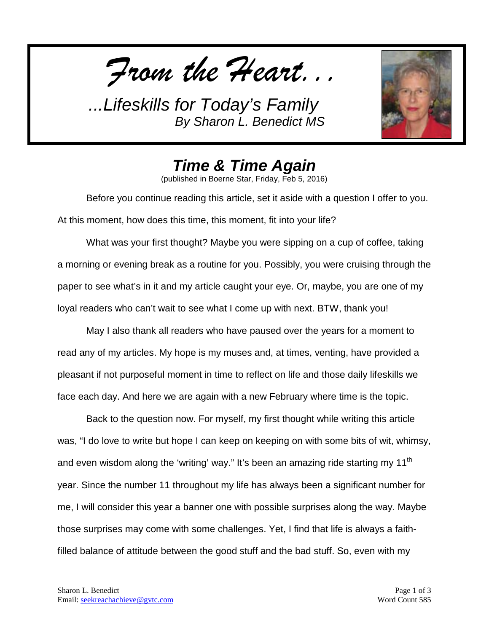*From the Heart...*



*Time & Time Again*

(published in Boerne Star, Friday, Feb 5, 2016)

Before you continue reading this article, set it aside with a question I offer to you. At this moment, how does this time, this moment, fit into your life?

What was your first thought? Maybe you were sipping on a cup of coffee, taking a morning or evening break as a routine for you. Possibly, you were cruising through the paper to see what's in it and my article caught your eye. Or, maybe, you are one of my loyal readers who can't wait to see what I come up with next. BTW, thank you!

May I also thank all readers who have paused over the years for a moment to read any of my articles. My hope is my muses and, at times, venting, have provided a pleasant if not purposeful moment in time to reflect on life and those daily lifeskills we face each day. And here we are again with a new February where time is the topic.

Back to the question now. For myself, my first thought while writing this article was, "I do love to write but hope I can keep on keeping on with some bits of wit, whimsy, and even wisdom along the 'writing' way." It's been an amazing ride starting my 11<sup>th</sup> year. Since the number 11 throughout my life has always been a significant number for me, I will consider this year a banner one with possible surprises along the way. Maybe those surprises may come with some challenges. Yet, I find that life is always a faithfilled balance of attitude between the good stuff and the bad stuff. So, even with my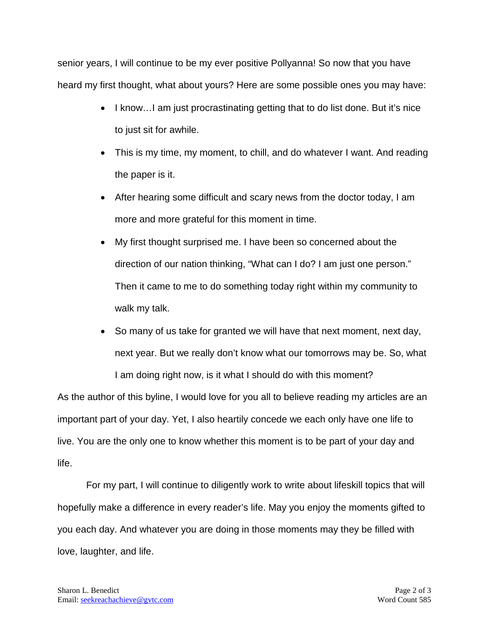senior years, I will continue to be my ever positive Pollyanna! So now that you have heard my first thought, what about yours? Here are some possible ones you may have:

- I know...I am just procrastinating getting that to do list done. But it's nice to just sit for awhile.
- This is my time, my moment, to chill, and do whatever I want. And reading the paper is it.
- After hearing some difficult and scary news from the doctor today, I am more and more grateful for this moment in time.
- My first thought surprised me. I have been so concerned about the direction of our nation thinking, "What can I do? I am just one person." Then it came to me to do something today right within my community to walk my talk.
- So many of us take for granted we will have that next moment, next day, next year. But we really don't know what our tomorrows may be. So, what I am doing right now, is it what I should do with this moment?

As the author of this byline, I would love for you all to believe reading my articles are an important part of your day. Yet, I also heartily concede we each only have one life to live. You are the only one to know whether this moment is to be part of your day and life.

For my part, I will continue to diligently work to write about lifeskill topics that will hopefully make a difference in every reader's life. May you enjoy the moments gifted to you each day. And whatever you are doing in those moments may they be filled with love, laughter, and life.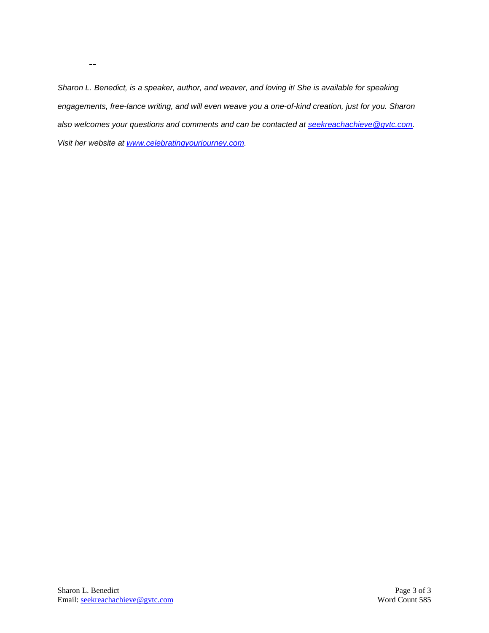*Sharon L. Benedict, is a speaker, author, and weaver, and loving it! She is available for speaking engagements, free-lance writing, and will even weave you a one-of-kind creation, just for you. Sharon also welcomes your questions and comments and can be contacted at [seekreachachieve@gvtc.com.](mailto:seekreachachieve@gvtc.com) Visit her website at [www.celebratingyourjourney.com.](http://www.celebratingyourjourney.com/)*

--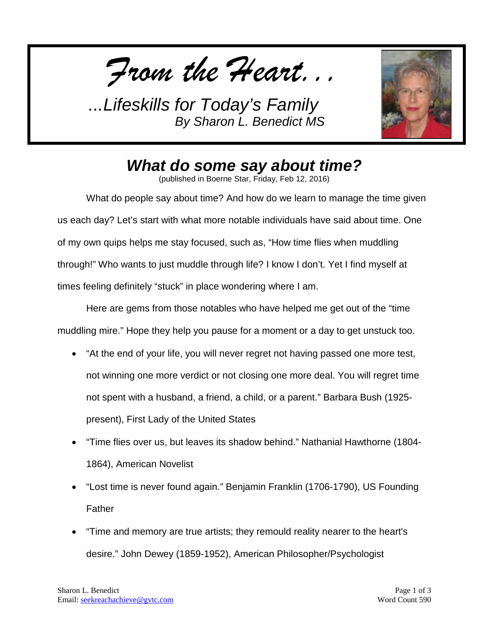*From the Heart...*



## *What do some say about time?*

(published in Boerne Star, Friday, Feb 12, 2016)

What do people say about time? And how do we learn to manage the time given us each day? Let's start with what more notable individuals have said about time. One of my own quips helps me stay focused, such as, "How time flies when muddling through!" Who wants to just muddle through life? I know I don't. Yet I find myself at times feeling definitely "stuck" in place wondering where I am.

Here are gems from those notables who have helped me get out of the "time muddling mire." Hope they help you pause for a moment or a day to get unstuck too.

- "At the end of your life, you will never regret not having passed one more test, not winning one more verdict or not closing one more deal. You will regret time not spent with a husband, a friend, a child, or a parent." Barbara Bush (1925 present), First Lady of the United States
- "Time flies over us, but leaves its shadow behind." Nathanial Hawthorne (1804- 1864), American Novelist
- "Lost time is never found again." Benjamin Franklin (1706-1790), US Founding Father
- "Time and memory are true artists; they remould reality nearer to the heart's desire." John Dewey (1859-1952), American Philosopher/Psychologist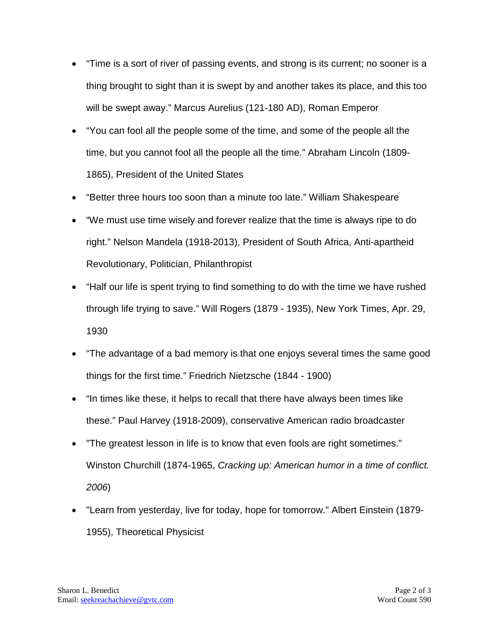- "Time is a sort of river of passing events, and strong is its current; no sooner is a thing brought to sight than it is swept by and another takes its place, and this too will be swept away." Marcus Aurelius (121-180 AD), Roman Emperor
- "You can fool all the people some of the time, and some of the people all the time, but you cannot fool all the people all the time." Abraham Lincoln (1809- 1865), President of the United States
- "Better three hours too soon than a minute too late." William Shakespeare
- "We must use time wisely and forever realize that the time is always ripe to do right." Nelson Mandela (1918-2013), President of South Africa, Anti-apartheid Revolutionary, Politician, Philanthropist
- "Half our life is spent trying to find something to do with the time we have rushed through life trying to save." Will Rogers (1879 - 1935), New York Times, Apr. 29, 1930
- "The advantage of a bad memory is that one enjoys several times the same good things for the first time." Friedrich Nietzsche (1844 - 1900)
- "In times like these, it helps to recall that there have always been times like these." Paul Harvey (1918-2009), conservative American radio broadcaster
- "The greatest lesson in life is to know that even fools are right sometimes." Winston Churchill (1874-1965, *Cracking up: American humor in a time of conflict. 2006*)
- "Learn from yesterday, live for today, hope for tomorrow." Albert Einstein (1879- 1955), Theoretical Physicist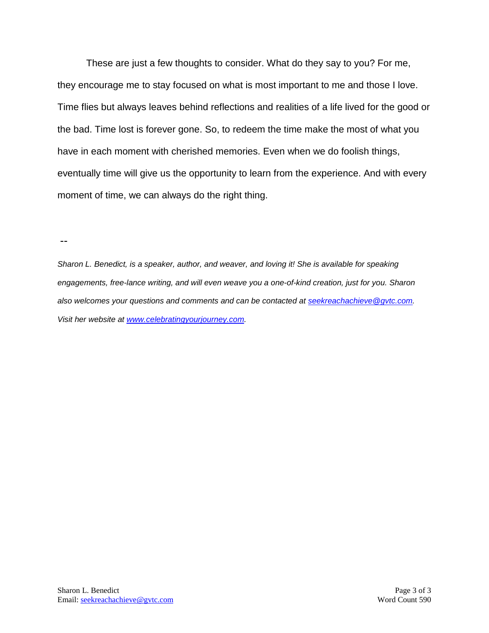These are just a few thoughts to consider. What do they say to you? For me, they encourage me to stay focused on what is most important to me and those I love. Time flies but always leaves behind reflections and realities of a life lived for the good or the bad. Time lost is forever gone. So, to redeem the time make the most of what you have in each moment with cherished memories. Even when we do foolish things, eventually time will give us the opportunity to learn from the experience. And with every moment of time, we can always do the right thing.

--

*Sharon L. Benedict, is a speaker, author, and weaver, and loving it! She is available for speaking engagements, free-lance writing, and will even weave you a one-of-kind creation, just for you. Sharon also welcomes your questions and comments and can be contacted at [seekreachachieve@gvtc.com.](mailto:seekreachachieve@gvtc.com) Visit her website at [www.celebratingyourjourney.com.](http://www.celebratingyourjourney.com/)*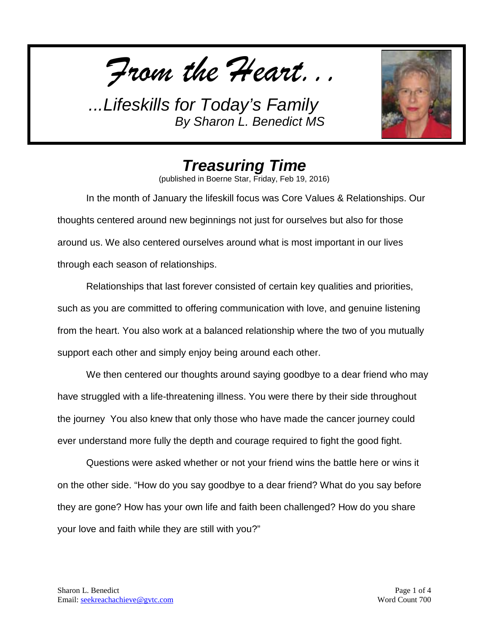*From the Heart...*



## *Treasuring Time*

(published in Boerne Star, Friday, Feb 19, 2016)

In the month of January the lifeskill focus was Core Values & Relationships. Our thoughts centered around new beginnings not just for ourselves but also for those around us. We also centered ourselves around what is most important in our lives through each season of relationships.

Relationships that last forever consisted of certain key qualities and priorities, such as you are committed to offering communication with love, and genuine listening from the heart. You also work at a balanced relationship where the two of you mutually support each other and simply enjoy being around each other.

We then centered our thoughts around saying goodbye to a dear friend who may have struggled with a life-threatening illness. You were there by their side throughout the journey You also knew that only those who have made the cancer journey could ever understand more fully the depth and courage required to fight the good fight.

Questions were asked whether or not your friend wins the battle here or wins it on the other side. "How do you say goodbye to a dear friend? What do you say before they are gone? How has your own life and faith been challenged? How do you share your love and faith while they are still with you?"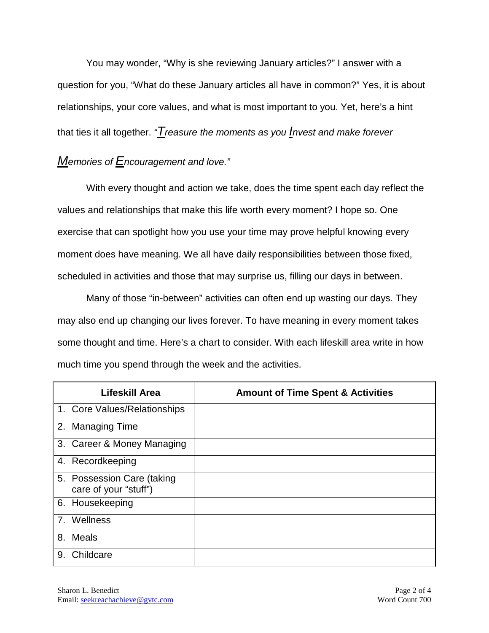You may wonder, "Why is she reviewing January articles?" I answer with a question for you, "What do these January articles all have in common?" Yes, it is about relationships, your core values, and what is most important to you. Yet, here's a hint that ties it all together. *"Treasure the moments as you Invest and make forever* 

## *Memories of Encouragement and love."*

With every thought and action we take, does the time spent each day reflect the values and relationships that make this life worth every moment? I hope so. One exercise that can spotlight how you use your time may prove helpful knowing every moment does have meaning. We all have daily responsibilities between those fixed, scheduled in activities and those that may surprise us, filling our days in between.

Many of those "in-between" activities can often end up wasting our days. They may also end up changing our lives forever. To have meaning in every moment takes some thought and time. Here's a chart to consider. With each lifeskill area write in how much time you spend through the week and the activities.

| <b>Lifeskill Area</b>                               | <b>Amount of Time Spent &amp; Activities</b> |
|-----------------------------------------------------|----------------------------------------------|
| 1. Core Values/Relationships                        |                                              |
| 2. Managing Time                                    |                                              |
| 3. Career & Money Managing                          |                                              |
| 4. Recordkeeping                                    |                                              |
| 5. Possession Care (taking<br>care of your "stuff") |                                              |
| 6. Housekeeping                                     |                                              |
| 7. Wellness                                         |                                              |
| 8.<br><b>Meals</b>                                  |                                              |
| Childcare<br>9.                                     |                                              |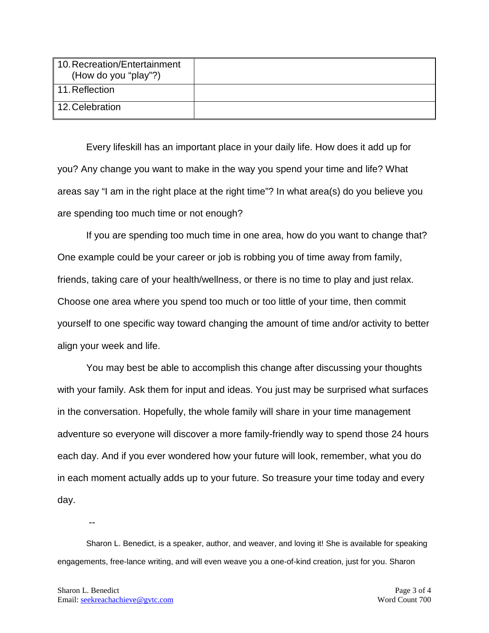| 10. Recreation/Entertainment<br>(How do you "play"?) |  |
|------------------------------------------------------|--|
| $\ $ 11. Reflection                                  |  |
| ∥ 12. Celebration                                    |  |

Every lifeskill has an important place in your daily life. How does it add up for you? Any change you want to make in the way you spend your time and life? What areas say "I am in the right place at the right time"? In what area(s) do you believe you are spending too much time or not enough?

If you are spending too much time in one area, how do you want to change that? One example could be your career or job is robbing you of time away from family, friends, taking care of your health/wellness, or there is no time to play and just relax. Choose one area where you spend too much or too little of your time, then commit yourself to one specific way toward changing the amount of time and/or activity to better align your week and life.

You may best be able to accomplish this change after discussing your thoughts with your family. Ask them for input and ideas. You just may be surprised what surfaces in the conversation. Hopefully, the whole family will share in your time management adventure so everyone will discover a more family-friendly way to spend those 24 hours each day. And if you ever wondered how your future will look, remember, what you do in each moment actually adds up to your future. So treasure your time today and every day.

Sharon L. Benedict, is a speaker, author, and weaver, and loving it! She is available for speaking engagements, free-lance writing, and will even weave you a one-of-kind creation, just for you. Sharon

--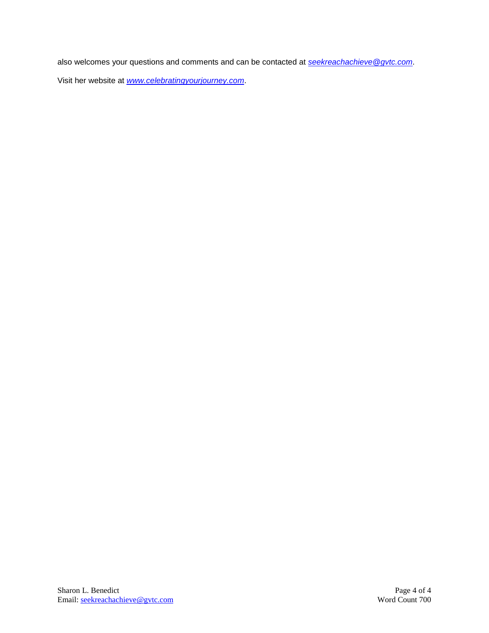also welcomes your questions and comments and can be contacted at *[seekreachachieve@gvtc.com](mailto:seekreachachieve@gvtc.com)*. Visit her website at *[www.celebratingyourjourney.com](http://www.celebratingyourjourney.com/)*.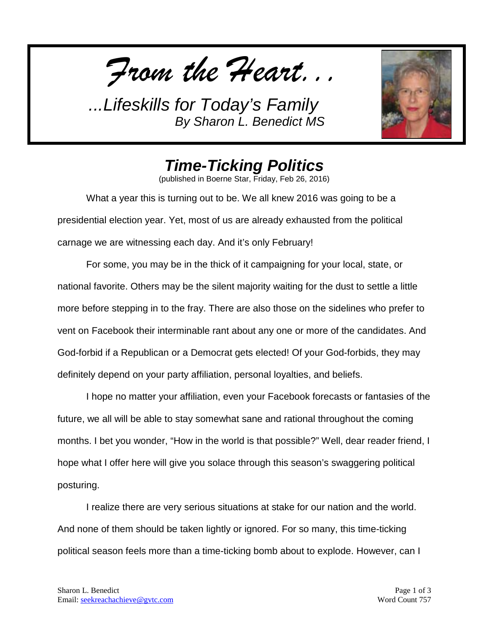*From the Heart...*



## *Time-Ticking Politics*

(published in Boerne Star, Friday, Feb 26, 2016)

What a year this is turning out to be. We all knew 2016 was going to be a presidential election year. Yet, most of us are already exhausted from the political carnage we are witnessing each day. And it's only February!

For some, you may be in the thick of it campaigning for your local, state, or national favorite. Others may be the silent majority waiting for the dust to settle a little more before stepping in to the fray. There are also those on the sidelines who prefer to vent on Facebook their interminable rant about any one or more of the candidates. And God-forbid if a Republican or a Democrat gets elected! Of your God-forbids, they may definitely depend on your party affiliation, personal loyalties, and beliefs.

I hope no matter your affiliation, even your Facebook forecasts or fantasies of the future, we all will be able to stay somewhat sane and rational throughout the coming months. I bet you wonder, "How in the world is that possible?" Well, dear reader friend, I hope what I offer here will give you solace through this season's swaggering political posturing.

I realize there are very serious situations at stake for our nation and the world. And none of them should be taken lightly or ignored. For so many, this time-ticking political season feels more than a time-ticking bomb about to explode. However, can I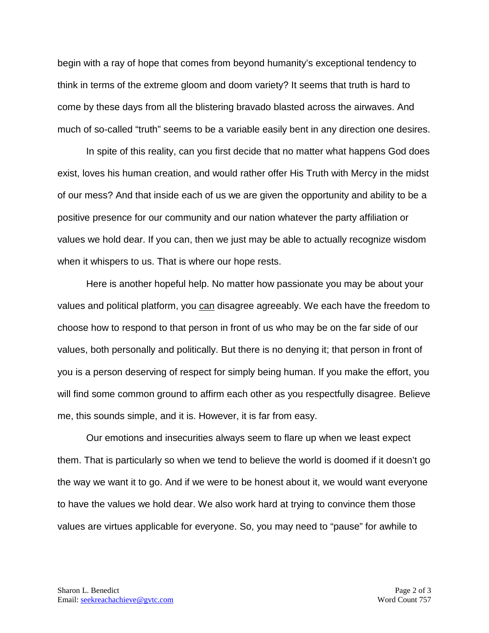begin with a ray of hope that comes from beyond humanity's exceptional tendency to think in terms of the extreme gloom and doom variety? It seems that truth is hard to come by these days from all the blistering bravado blasted across the airwaves. And much of so-called "truth" seems to be a variable easily bent in any direction one desires.

In spite of this reality, can you first decide that no matter what happens God does exist, loves his human creation, and would rather offer His Truth with Mercy in the midst of our mess? And that inside each of us we are given the opportunity and ability to be a positive presence for our community and our nation whatever the party affiliation or values we hold dear. If you can, then we just may be able to actually recognize wisdom when it whispers to us. That is where our hope rests.

Here is another hopeful help. No matter how passionate you may be about your values and political platform, you <u>can</u> disagree agreeably. We each have the freedom to choose how to respond to that person in front of us who may be on the far side of our values, both personally and politically. But there is no denying it; that person in front of you is a person deserving of respect for simply being human. If you make the effort, you will find some common ground to affirm each other as you respectfully disagree. Believe me, this sounds simple, and it is. However, it is far from easy.

Our emotions and insecurities always seem to flare up when we least expect them. That is particularly so when we tend to believe the world is doomed if it doesn't go the way we want it to go. And if we were to be honest about it, we would want everyone to have the values we hold dear. We also work hard at trying to convince them those values are virtues applicable for everyone. So, you may need to "pause" for awhile to